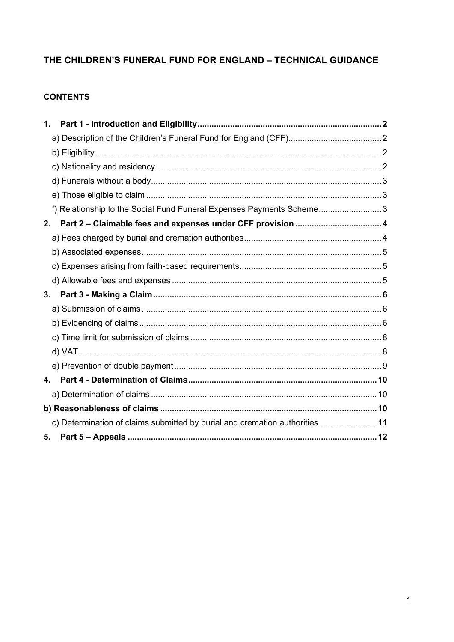# THE CHILDREN'S FUNERAL FUND FOR ENGLAND - TECHNICAL GUIDANCE

# **CONTENTS**

| 1.                                                                          |  |
|-----------------------------------------------------------------------------|--|
|                                                                             |  |
|                                                                             |  |
|                                                                             |  |
|                                                                             |  |
|                                                                             |  |
| f) Relationship to the Social Fund Funeral Expenses Payments Scheme3        |  |
| 2.                                                                          |  |
|                                                                             |  |
|                                                                             |  |
|                                                                             |  |
|                                                                             |  |
| 3.                                                                          |  |
|                                                                             |  |
|                                                                             |  |
|                                                                             |  |
|                                                                             |  |
|                                                                             |  |
| 4.                                                                          |  |
|                                                                             |  |
|                                                                             |  |
| c) Determination of claims submitted by burial and cremation authorities 11 |  |
| 5.                                                                          |  |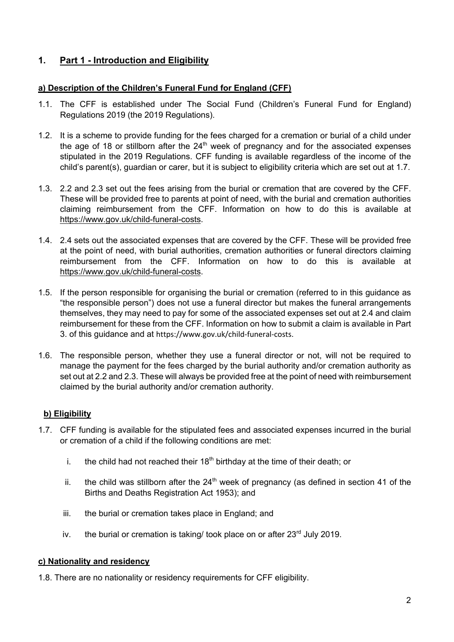# **1. Part 1 - Introduction and Eligibility**

### **a) Description of the Children's Funeral Fund for England (CFF)**

- 1.1. The CFF is established under The Social Fund (Children's Funeral Fund for England) Regulations 2019 (the 2019 Regulations).
- 1.2. It is a scheme to provide funding for the fees charged for a cremation or burial of a child under the age of 18 or stillborn after the  $24<sup>th</sup>$  week of pregnancy and for the associated expenses stipulated in the 2019 Regulations. CFF funding is available regardless of the income of the child's parent(s), guardian or carer, but it is subject to eligibility criteria which are set out at 1.7.
- 1.3. 2.2 and 2.3 set out the fees arising from the burial or cremation that are covered by the CFF. These will be provided free to parents at point of need, with the burial and cremation authorities claiming reimbursement from the CFF. Information on how to do this is available at https://www.gov.uk/child-funeral-costs.
- 1.4. 2.4 sets out the associated expenses that are covered by the CFF. These will be provided free at the point of need, with burial authorities, cremation authorities or funeral directors claiming reimbursement from the CFF. Information on how to do this is available at https://www.gov.uk/child-funeral-costs.
- 1.5. If the person responsible for organising the burial or cremation (referred to in this guidance as "the responsible person") does not use a funeral director but makes the funeral arrangements themselves, they may need to pay for some of the associated expenses set out at 2.4 and claim reimbursement for these from the CFF. Information on how to submit a claim is available in Part 3. of this guidance and at https://www.gov.uk/child-funeral-costs.
- 1.6. The responsible person, whether they use a funeral director or not, will not be required to manage the payment for the fees charged by the burial authority and/or cremation authority as set out at 2.2 and 2.3. These will always be provided free at the point of need with reimbursement claimed by the burial authority and/or cremation authority.

# **b) Eligibility**

- 1.7. CFF funding is available for the stipulated fees and associated expenses incurred in the burial or cremation of a child if the following conditions are met:
	- i. the child had not reached their  $18<sup>th</sup>$  birthday at the time of their death; or
	- ii. the child was stillborn after the  $24<sup>th</sup>$  week of pregnancy (as defined in section 41 of the Births and Deaths Registration Act 1953); and
	- iii. the burial or cremation takes place in England; and
	- iv. the burial or cremation is taking/ took place on or after  $23<sup>rd</sup>$  July 2019.

### **c) Nationality and residency**

1.8. There are no nationality or residency requirements for CFF eligibility.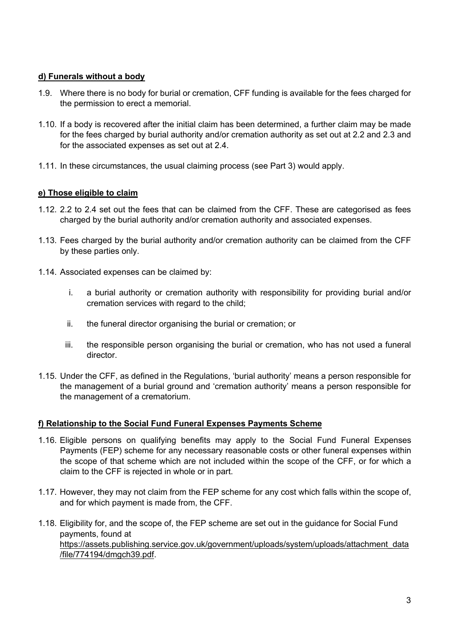### **d) Funerals without a body**

- 1.9. Where there is no body for burial or cremation, CFF funding is available for the fees charged for the permission to erect a memorial.
- 1.10. If a body is recovered after the initial claim has been determined, a further claim may be made for the fees charged by burial authority and/or cremation authority as set out at 2.2 and 2.3 and for the associated expenses as set out at 2.4.
- 1.11. In these circumstances, the usual claiming process (see Part 3) would apply.

### **e) Those eligible to claim**

- 1.12. 2.2 to 2.4 set out the fees that can be claimed from the CFF. These are categorised as fees charged by the burial authority and/or cremation authority and associated expenses.
- 1.13. Fees charged by the burial authority and/or cremation authority can be claimed from the CFF by these parties only.
- 1.14. Associated expenses can be claimed by:
	- i. a burial authority or cremation authority with responsibility for providing burial and/or cremation services with regard to the child;
	- ii. the funeral director organising the burial or cremation; or
	- iii. the responsible person organising the burial or cremation, who has not used a funeral director.
- 1.15. Under the CFF, as defined in the Regulations, 'burial authority' means a person responsible for the management of a burial ground and 'cremation authority' means a person responsible for the management of a crematorium.

### **f) Relationship to the Social Fund Funeral Expenses Payments Scheme**

- 1.16. Eligible persons on qualifying benefits may apply to the Social Fund Funeral Expenses Payments (FEP) scheme for any necessary reasonable costs or other funeral expenses within the scope of that scheme which are not included within the scope of the CFF, or for which a claim to the CFF is rejected in whole or in part.
- 1.17. However, they may not claim from the FEP scheme for any cost which falls within the scope of, and for which payment is made from, the CFF.
- 1.18. Eligibility for, and the scope of, the FEP scheme are set out in the guidance for Social Fund payments, found at https://assets.publishing.service.gov.uk/government/uploads/system/uploads/attachment\_data /file/774194/dmgch39.pdf.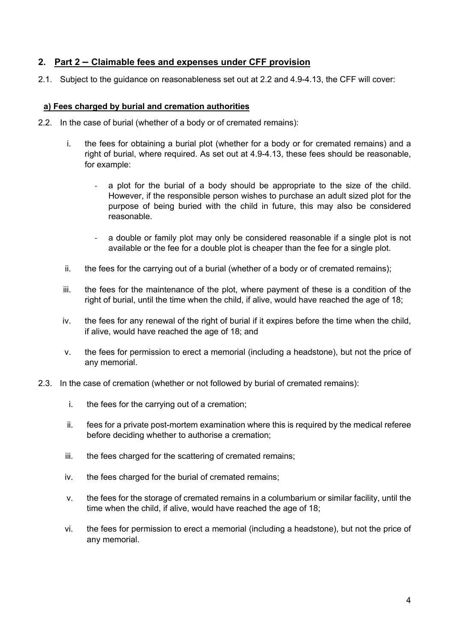## **2. Part 2 – Claimable fees and expenses under CFF provision**

2.1. Subject to the guidance on reasonableness set out at 2.2 and 4.9-4.13, the CFF will cover:

### **a) Fees charged by burial and cremation authorities**

- 2.2. In the case of burial (whether of a body or of cremated remains):
	- i. the fees for obtaining a burial plot (whether for a body or for cremated remains) and a right of burial, where required. As set out at 4.9-4.13, these fees should be reasonable, for example:
		- a plot for the burial of a body should be appropriate to the size of the child. However, if the responsible person wishes to purchase an adult sized plot for the purpose of being buried with the child in future, this may also be considered reasonable.
		- a double or family plot may only be considered reasonable if a single plot is not available or the fee for a double plot is cheaper than the fee for a single plot.
	- ii. the fees for the carrying out of a burial (whether of a body or of cremated remains);
	- iii. the fees for the maintenance of the plot, where payment of these is a condition of the right of burial, until the time when the child, if alive, would have reached the age of 18;
	- iv. the fees for any renewal of the right of burial if it expires before the time when the child, if alive, would have reached the age of 18; and
	- v. the fees for permission to erect a memorial (including a headstone), but not the price of any memorial.
- 2.3. In the case of cremation (whether or not followed by burial of cremated remains):
	- i. the fees for the carrying out of a cremation;
	- ii. fees for a private post-mortem examination where this is required by the medical referee before deciding whether to authorise a cremation;
	- iii. the fees charged for the scattering of cremated remains;
	- iv. the fees charged for the burial of cremated remains;
	- v. the fees for the storage of cremated remains in a columbarium or similar facility, until the time when the child, if alive, would have reached the age of 18;
	- vi. the fees for permission to erect a memorial (including a headstone), but not the price of any memorial.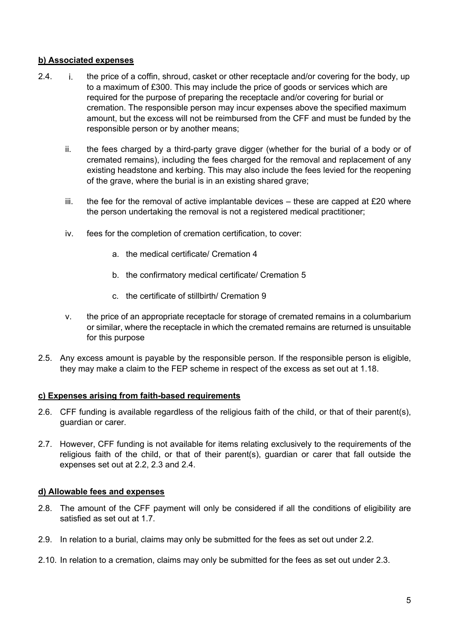### **b) Associated expenses**

- 2.4. i. the price of a coffin, shroud, casket or other receptacle and/or covering for the body, up to a maximum of £300. This may include the price of goods or services which are required for the purpose of preparing the receptacle and/or covering for burial or cremation. The responsible person may incur expenses above the specified maximum amount, but the excess will not be reimbursed from the CFF and must be funded by the responsible person or by another means; i.
	- ii. the fees charged by a third-party grave digger (whether for the burial of a body or of cremated remains), including the fees charged for the removal and replacement of any existing headstone and kerbing. This may also include the fees levied for the reopening of the grave, where the burial is in an existing shared grave;
	- iii. the fee for the removal of active implantable devices  $-$  these are capped at £20 where the person undertaking the removal is not a registered medical practitioner;
	- iv. fees for the completion of cremation certification, to cover:
		- a. the medical certificate/ Cremation 4
		- b. the confirmatory medical certificate/ Cremation 5
		- c. the certificate of stillbirth/ Cremation 9
	- v. the price of an appropriate receptacle for storage of cremated remains in a columbarium or similar, where the receptacle in which the cremated remains are returned is unsuitable for this purpose
- 2.5. Any excess amount is payable by the responsible person. If the responsible person is eligible, they may make a claim to the FEP scheme in respect of the excess as set out at 1.18.

#### **c) Expenses arising from faith-based requirements**

- 2.6. CFF funding is available regardless of the religious faith of the child, or that of their parent(s), guardian or carer.
- 2.7. However, CFF funding is not available for items relating exclusively to the requirements of the religious faith of the child, or that of their parent(s), guardian or carer that fall outside the expenses set out at 2.2, 2.3 and 2.4.

#### **d) Allowable fees and expenses**

- 2.8. The amount of the CFF payment will only be considered if all the conditions of eligibility are satisfied as set out at 1.7.
- 2.9. In relation to a burial, claims may only be submitted for the fees as set out under 2.2.
- 2.10. In relation to a cremation, claims may only be submitted for the fees as set out under 2.3.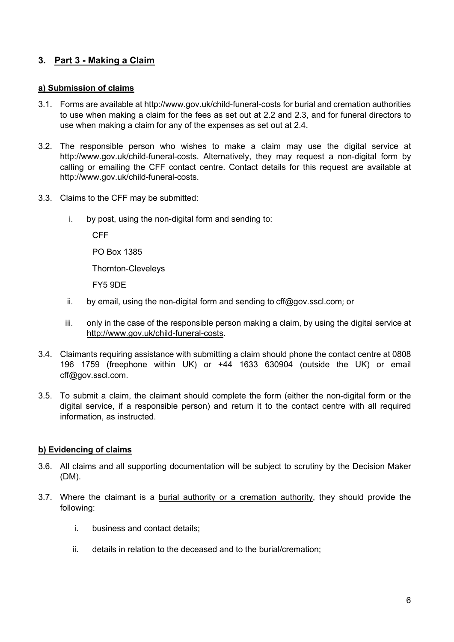# **3. Part 3 - Making a Claim**

#### **a) Submission of claims**

- 3.1. Forms are available at http://www.gov.uk/child-funeral-costs for burial and cremation authorities to use when making a claim for the fees as set out at 2.2 and 2.3, and for funeral directors to use when making a claim for any of the expenses as set out at 2.4.
- 3.2. The responsible person who wishes to make a claim may use the digital service at http://www.gov.uk/child-funeral-costs. Alternatively, they may request a non-digital form by calling or emailing the CFF contact centre. Contact details for this request are available at http://www.gov.uk/child-funeral-costs.
- 3.3. Claims to the CFF may be submitted:
	- i. by post, using the non-digital form and sending to:

CFF PO Box 1385 Thornton-Cleveleys FY5 9DE

- ii. by email, using the non-digital form and sending to  $\text{cf}(\mathbb{Q})$  gov.sscl.com; or
- iii. only in the case of the responsible person making a claim, by using the digital service at http://www.gov.uk/child-funeral-costs.
- 3.4. Claimants requiring assistance with submitting a claim should phone the contact centre at 0808 196 1759 (freephone within UK) or +44 1633 630904 (outside the UK) or email cff@gov.sscl.com.
- 3.5. To submit a claim, the claimant should complete the form (either the non-digital form or the digital service, if a responsible person) and return it to the contact centre with all required information, as instructed.

#### **b) Evidencing of claims**

- 3.6. All claims and all supporting documentation will be subject to scrutiny by the Decision Maker (DM).
- 3.7. Where the claimant is a burial authority or a cremation authority, they should provide the following:
	- i. business and contact details;
	- ii. details in relation to the deceased and to the burial/cremation;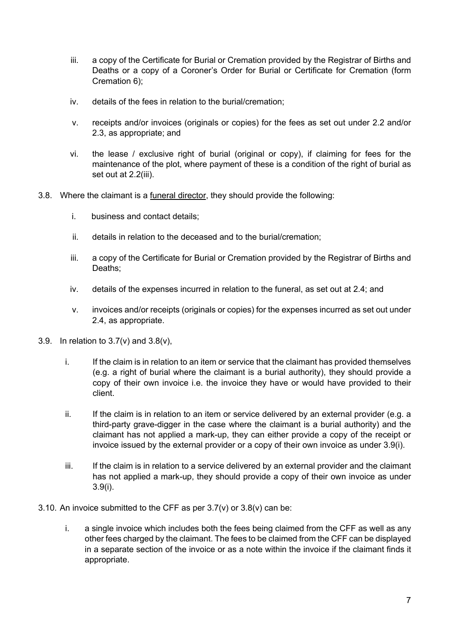- iii. a copy of the Certificate for Burial or Cremation provided by the Registrar of Births and Deaths or a copy of a Coroner's Order for Burial or Certificate for Cremation (form Cremation 6);
- iv. details of the fees in relation to the burial/cremation;
- v. receipts and/or invoices (originals or copies) for the fees as set out under 2.2 and/or 2.3, as appropriate; and
- vi. the lease / exclusive right of burial (original or copy), if claiming for fees for the maintenance of the plot, where payment of these is a condition of the right of burial as set out at 2.2(iii).
- 3.8. Where the claimant is a funeral director, they should provide the following:
	- i. business and contact details;
	- ii. details in relation to the deceased and to the burial/cremation;
	- iii. a copy of the Certificate for Burial or Cremation provided by the Registrar of Births and Deaths;
	- iv. details of the expenses incurred in relation to the funeral, as set out at 2.4; and
	- v. invoices and/or receipts (originals or copies) for the expenses incurred as set out under 2.4, as appropriate.
- 3.9. In relation to  $3.7(v)$  and  $3.8(v)$ ,
	- i. If the claim is in relation to an item or service that the claimant has provided themselves (e.g. a right of burial where the claimant is a burial authority), they should provide a copy of their own invoice i.e. the invoice they have or would have provided to their client.
	- ii. If the claim is in relation to an item or service delivered by an external provider (e.g. a third-party grave-digger in the case where the claimant is a burial authority) and the claimant has not applied a mark-up, they can either provide a copy of the receipt or invoice issued by the external provider or a copy of their own invoice as under 3.9(i).
	- iii. If the claim is in relation to a service delivered by an external provider and the claimant has not applied a mark-up, they should provide a copy of their own invoice as under 3.9(i).
- 3.10. An invoice submitted to the CFF as per 3.7(v) or 3.8(v) can be:
	- i. a single invoice which includes both the fees being claimed from the CFF as well as any other fees charged by the claimant. The fees to be claimed from the CFF can be displayed in a separate section of the invoice or as a note within the invoice if the claimant finds it appropriate.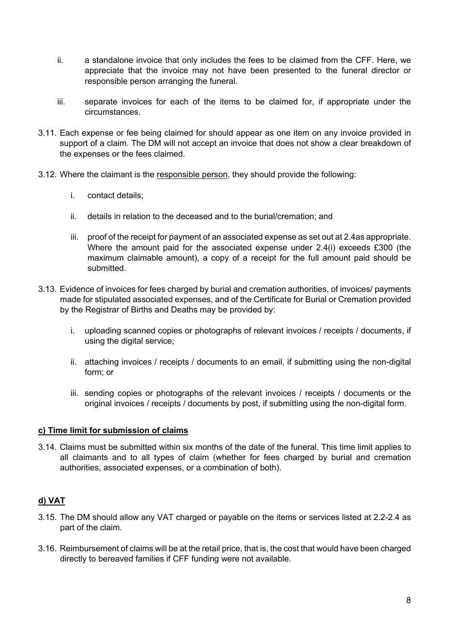- ii. a standalone invoice that only includes the fees to be claimed from the CFF. Here, we appreciate that the invoice may not have been presented to the funeral director or responsible person arranging the funeral.
- iii. separate invoices for each of the items to be claimed for, if appropriate under the circumstances.
- 3.11. Each expense or fee being claimed for should appear as one item on any invoice provided in support of a claim. The DM will not accept an invoice that does not show a clear breakdown of the expenses or the fees claimed.
- 3.12. Where the claimant is the responsible person, they should provide the following:
	- i. contact details;
	- ii. details in relation to the deceased and to the burial/cremation; and
	- iii. proof of the receipt for payment of an associated expense as set out at 2.4as appropriate. Where the amount paid for the associated expense under 2.4(i) exceeds £300 (the maximum claimable amount), a copy of a receipt for the full amount paid should be submitted.
- 3.13. Evidence of invoices for fees charged by burial and cremation authorities, of invoices/ payments made for stipulated associated expenses, and of the Certificate for Burial or Cremation provided by the Registrar of Births and Deaths may be provided by:
	- i. uploading scanned copies or photographs of relevant invoices / receipts / documents, if using the digital service;
	- ii. attaching invoices / receipts / documents to an email, if submitting using the non-digital form; or
	- iii. sending copies or photographs of the relevant invoices / receipts / documents or the original invoices / receipts / documents by post, if submitting using the non-digital form.

### **c) Time limit for submission of claims**

3.14. Claims must be submitted within six months of the date of the funeral. This time limit applies to all claimants and to all types of claim (whether for fees charged by burial and cremation authorities, associated expenses, or a combination of both).

# **d) VAT**

- 3.15. The DM should allow any VAT charged or payable on the items or services listed at 2.2-2.4 as part of the claim.
- 3.16. Reimbursement of claims will be at the retail price, that is, the cost that would have been charged directly to bereaved families if CFF funding were not available.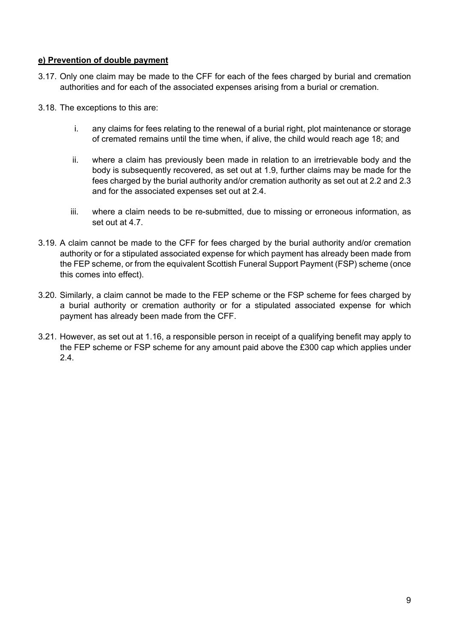### **e) Prevention of double payment**

- 3.17. Only one claim may be made to the CFF for each of the fees charged by burial and cremation authorities and for each of the associated expenses arising from a burial or cremation.
- 3.18. The exceptions to this are:
	- i. any claims for fees relating to the renewal of a burial right, plot maintenance or storage of cremated remains until the time when, if alive, the child would reach age 18; and
	- ii. where a claim has previously been made in relation to an irretrievable body and the body is subsequently recovered, as set out at 1.9, further claims may be made for the fees charged by the burial authority and/or cremation authority as set out at 2.2 and 2.3 and for the associated expenses set out at 2.4.
	- iii. where a claim needs to be re-submitted, due to missing or erroneous information, as set out at 4.7.
- 3.19. A claim cannot be made to the CFF for fees charged by the burial authority and/or cremation authority or for a stipulated associated expense for which payment has already been made from the FEP scheme, or from the equivalent Scottish Funeral Support Payment (FSP) scheme (once this comes into effect).
- 3.20. Similarly, a claim cannot be made to the FEP scheme or the FSP scheme for fees charged by a burial authority or cremation authority or for a stipulated associated expense for which payment has already been made from the CFF.
- 3.21. However, as set out at 1.16, a responsible person in receipt of a qualifying benefit may apply to the FEP scheme or FSP scheme for any amount paid above the £300 cap which applies under 2.4.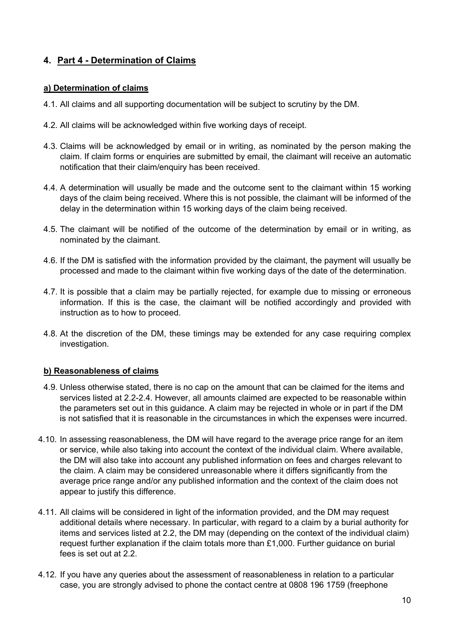# **4. Part 4 - Determination of Claims**

### **a) Determination of claims**

- 4.1. All claims and all supporting documentation will be subject to scrutiny by the DM.
- 4.2. All claims will be acknowledged within five working days of receipt.
- 4.3. Claims will be acknowledged by email or in writing, as nominated by the person making the claim. If claim forms or enquiries are submitted by email, the claimant will receive an automatic notification that their claim/enquiry has been received.
- 4.4. A determination will usually be made and the outcome sent to the claimant within 15 working days of the claim being received. Where this is not possible, the claimant will be informed of the delay in the determination within 15 working days of the claim being received.
- 4.5. The claimant will be notified of the outcome of the determination by email or in writing, as nominated by the claimant.
- 4.6. If the DM is satisfied with the information provided by the claimant, the payment will usually be processed and made to the claimant within five working days of the date of the determination.
- 4.7. It is possible that a claim may be partially rejected, for example due to missing or erroneous information. If this is the case, the claimant will be notified accordingly and provided with instruction as to how to proceed.
- 4.8. At the discretion of the DM, these timings may be extended for any case requiring complex investigation.

#### **b) Reasonableness of claims**

- 4.9. Unless otherwise stated, there is no cap on the amount that can be claimed for the items and services listed at 2.2-2.4. However, all amounts claimed are expected to be reasonable within the parameters set out in this guidance. A claim may be rejected in whole or in part if the DM is not satisfied that it is reasonable in the circumstances in which the expenses were incurred.
- 4.10. In assessing reasonableness, the DM will have regard to the average price range for an item or service, while also taking into account the context of the individual claim. Where available, the DM will also take into account any published information on fees and charges relevant to the claim. A claim may be considered unreasonable where it differs significantly from the average price range and/or any published information and the context of the claim does not appear to justify this difference.
- 4.11. All claims will be considered in light of the information provided, and the DM may request additional details where necessary. In particular, with regard to a claim by a burial authority for items and services listed at 2.2, the DM may (depending on the context of the individual claim) request further explanation if the claim totals more than £1,000. Further guidance on burial fees is set out at 2.2.
- 4.12. If you have any queries about the assessment of reasonableness in relation to a particular case, you are strongly advised to phone the contact centre at 0808 196 1759 (freephone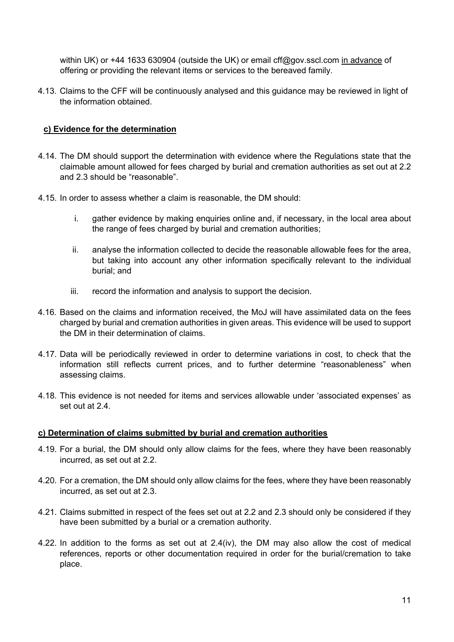within UK) or +44 1633 630904 (outside the UK) or email cff@gov.sscl.com in advance of offering or providing the relevant items or services to the bereaved family.

4.13. Claims to the CFF will be continuously analysed and this guidance may be reviewed in light of the information obtained.

### **c) Evidence for the determination**

- 4.14. The DM should support the determination with evidence where the Regulations state that the claimable amount allowed for fees charged by burial and cremation authorities as set out at 2.2 and 2.3 should be "reasonable".
- 4.15. In order to assess whether a claim is reasonable, the DM should:
	- i. gather evidence by making enquiries online and, if necessary, in the local area about the range of fees charged by burial and cremation authorities;
	- ii. analyse the information collected to decide the reasonable allowable fees for the area, but taking into account any other information specifically relevant to the individual burial; and
	- iii. record the information and analysis to support the decision.
- 4.16. Based on the claims and information received, the MoJ will have assimilated data on the fees charged by burial and cremation authorities in given areas. This evidence will be used to support the DM in their determination of claims.
- 4.17. Data will be periodically reviewed in order to determine variations in cost, to check that the information still reflects current prices, and to further determine "reasonableness" when assessing claims.
- 4.18. This evidence is not needed for items and services allowable under 'associated expenses' as set out at 2.4.

#### **c) Determination of claims submitted by burial and cremation authorities**

- 4.19. For a burial, the DM should only allow claims for the fees, where they have been reasonably incurred, as set out at 2.2.
- 4.20. For a cremation, the DM should only allow claims for the fees, where they have been reasonably incurred, as set out at 2.3.
- 4.21. Claims submitted in respect of the fees set out at 2.2 and 2.3 should only be considered if they have been submitted by a burial or a cremation authority.
- 4.22. In addition to the forms as set out at 2.4(iv), the DM may also allow the cost of medical references, reports or other documentation required in order for the burial/cremation to take place.